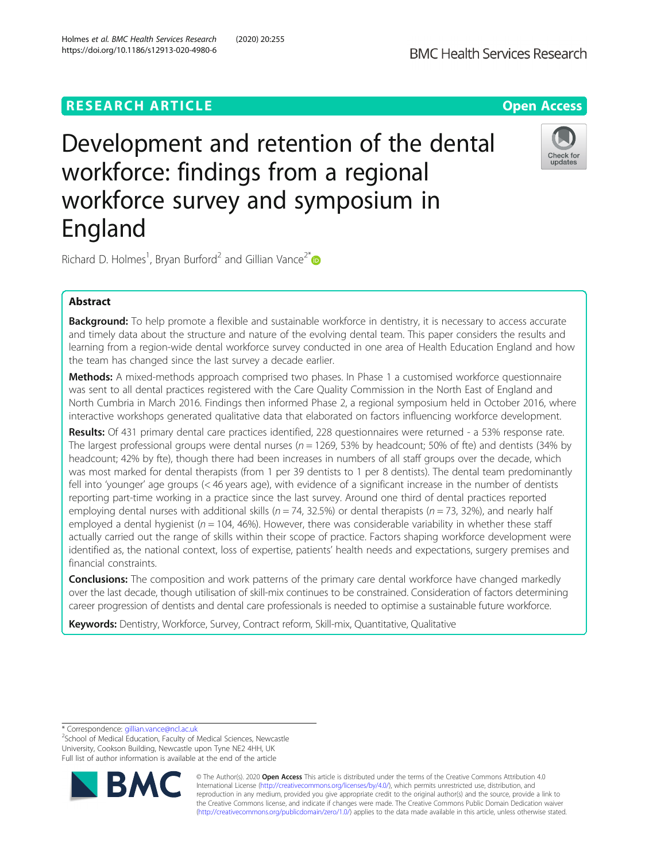## **RESEARCH ARTICLE Example 2014 12:30 The Contract of Contract ACCESS**

# Development and retention of the dental workforce: findings from a regional workforce survey and symposium in England



Richard D. Holmes<sup>1</sup>, Bryan Burford<sup>2</sup> and Gillian Vance<sup>2\*</sup>

## Abstract

**Background:** To help promote a flexible and sustainable workforce in dentistry, it is necessary to access accurate and timely data about the structure and nature of the evolving dental team. This paper considers the results and learning from a region-wide dental workforce survey conducted in one area of Health Education England and how the team has changed since the last survey a decade earlier.

Methods: A mixed-methods approach comprised two phases. In Phase 1 a customised workforce questionnaire was sent to all dental practices registered with the Care Quality Commission in the North East of England and North Cumbria in March 2016. Findings then informed Phase 2, a regional symposium held in October 2016, where interactive workshops generated qualitative data that elaborated on factors influencing workforce development.

Results: Of 431 primary dental care practices identified, 228 questionnaires were returned - a 53% response rate. The largest professional groups were dental nurses ( $n = 1269$ , 53% by headcount; 50% of fte) and dentists (34% by headcount; 42% by fte), though there had been increases in numbers of all staff groups over the decade, which was most marked for dental therapists (from 1 per 39 dentists to 1 per 8 dentists). The dental team predominantly fell into 'younger' age groups (< 46 years age), with evidence of a significant increase in the number of dentists reporting part-time working in a practice since the last survey. Around one third of dental practices reported employing dental nurses with additional skills ( $n = 74$ , 32.5%) or dental therapists ( $n = 73$ , 32%), and nearly half employed a dental hygienist ( $n = 104$ , 46%). However, there was considerable variability in whether these staff actually carried out the range of skills within their scope of practice. Factors shaping workforce development were identified as, the national context, loss of expertise, patients' health needs and expectations, surgery premises and financial constraints.

**Conclusions:** The composition and work patterns of the primary care dental workforce have changed markedly over the last decade, though utilisation of skill-mix continues to be constrained. Consideration of factors determining career progression of dentists and dental care professionals is needed to optimise a sustainable future workforce.

Keywords: Dentistry, Workforce, Survey, Contract reform, Skill-mix, Quantitative, Qualitative

\* Correspondence: [gillian.vance@ncl.ac.uk](mailto:gillian.vance@ncl.ac.uk) <sup>2</sup>

<sup>2</sup>School of Medical Education, Faculty of Medical Sciences, Newcastle University, Cookson Building, Newcastle upon Tyne NE2 4HH, UK Full list of author information is available at the end of the article



© The Author(s). 2020 **Open Access** This article is distributed under the terms of the Creative Commons Attribution 4.0 International License [\(http://creativecommons.org/licenses/by/4.0/](http://creativecommons.org/licenses/by/4.0/)), which permits unrestricted use, distribution, and reproduction in any medium, provided you give appropriate credit to the original author(s) and the source, provide a link to the Creative Commons license, and indicate if changes were made. The Creative Commons Public Domain Dedication waiver [\(http://creativecommons.org/publicdomain/zero/1.0/](http://creativecommons.org/publicdomain/zero/1.0/)) applies to the data made available in this article, unless otherwise stated.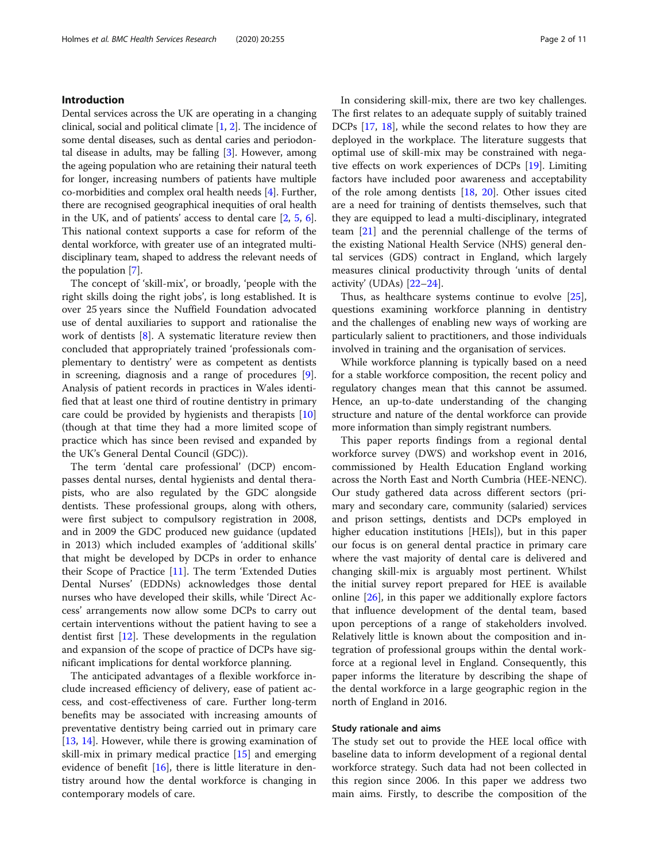## Introduction

Dental services across the UK are operating in a changing clinical, social and political climate  $[1, 2]$  $[1, 2]$  $[1, 2]$  $[1, 2]$ . The incidence of some dental diseases, such as dental caries and periodontal disease in adults, may be falling [[3\]](#page-10-0). However, among the ageing population who are retaining their natural teeth for longer, increasing numbers of patients have multiple co-morbidities and complex oral health needs [[4\]](#page-10-0). Further, there are recognised geographical inequities of oral health in the UK, and of patients' access to dental care [[2,](#page-10-0) [5](#page-10-0), [6](#page-10-0)]. This national context supports a case for reform of the dental workforce, with greater use of an integrated multidisciplinary team, shaped to address the relevant needs of the population [[7\]](#page-10-0).

The concept of 'skill-mix', or broadly, 'people with the right skills doing the right jobs', is long established. It is over 25 years since the Nuffield Foundation advocated use of dental auxiliaries to support and rationalise the work of dentists [[8\]](#page-10-0). A systematic literature review then concluded that appropriately trained 'professionals complementary to dentistry' were as competent as dentists in screening, diagnosis and a range of procedures [\[9](#page-10-0)]. Analysis of patient records in practices in Wales identified that at least one third of routine dentistry in primary care could be provided by hygienists and therapists [[10](#page-10-0)] (though at that time they had a more limited scope of practice which has since been revised and expanded by the UK's General Dental Council (GDC)).

The term 'dental care professional' (DCP) encompasses dental nurses, dental hygienists and dental therapists, who are also regulated by the GDC alongside dentists. These professional groups, along with others, were first subject to compulsory registration in 2008, and in 2009 the GDC produced new guidance (updated in 2013) which included examples of 'additional skills' that might be developed by DCPs in order to enhance their Scope of Practice [\[11](#page-10-0)]. The term 'Extended Duties Dental Nurses' (EDDNs) acknowledges those dental nurses who have developed their skills, while 'Direct Access' arrangements now allow some DCPs to carry out certain interventions without the patient having to see a dentist first [[12\]](#page-10-0). These developments in the regulation and expansion of the scope of practice of DCPs have significant implications for dental workforce planning.

The anticipated advantages of a flexible workforce include increased efficiency of delivery, ease of patient access, and cost-effectiveness of care. Further long-term benefits may be associated with increasing amounts of preventative dentistry being carried out in primary care [[13,](#page-10-0) [14\]](#page-10-0). However, while there is growing examination of skill-mix in primary medical practice [\[15](#page-10-0)] and emerging evidence of benefit  $[16]$  $[16]$  $[16]$ , there is little literature in dentistry around how the dental workforce is changing in contemporary models of care.

In considering skill-mix, there are two key challenges. The first relates to an adequate supply of suitably trained DCPs [[17](#page-10-0), [18\]](#page-10-0), while the second relates to how they are deployed in the workplace. The literature suggests that optimal use of skill-mix may be constrained with negative effects on work experiences of DCPs [[19\]](#page-10-0). Limiting factors have included poor awareness and acceptability of the role among dentists [\[18,](#page-10-0) [20](#page-10-0)]. Other issues cited are a need for training of dentists themselves, such that they are equipped to lead a multi-disciplinary, integrated team [[21](#page-10-0)] and the perennial challenge of the terms of the existing National Health Service (NHS) general dental services (GDS) contract in England, which largely measures clinical productivity through 'units of dental activity' (UDAs) [\[22](#page-10-0)–[24\]](#page-10-0).

Thus, as healthcare systems continue to evolve [\[25](#page-10-0)], questions examining workforce planning in dentistry and the challenges of enabling new ways of working are particularly salient to practitioners, and those individuals involved in training and the organisation of services.

While workforce planning is typically based on a need for a stable workforce composition, the recent policy and regulatory changes mean that this cannot be assumed. Hence, an up-to-date understanding of the changing structure and nature of the dental workforce can provide more information than simply registrant numbers.

This paper reports findings from a regional dental workforce survey (DWS) and workshop event in 2016, commissioned by Health Education England working across the North East and North Cumbria (HEE-NENC). Our study gathered data across different sectors (primary and secondary care, community (salaried) services and prison settings, dentists and DCPs employed in higher education institutions [HEIs]), but in this paper our focus is on general dental practice in primary care where the vast majority of dental care is delivered and changing skill-mix is arguably most pertinent. Whilst the initial survey report prepared for HEE is available online [[26\]](#page-10-0), in this paper we additionally explore factors that influence development of the dental team, based upon perceptions of a range of stakeholders involved. Relatively little is known about the composition and integration of professional groups within the dental workforce at a regional level in England. Consequently, this paper informs the literature by describing the shape of the dental workforce in a large geographic region in the north of England in 2016.

## Study rationale and aims

The study set out to provide the HEE local office with baseline data to inform development of a regional dental workforce strategy. Such data had not been collected in this region since 2006. In this paper we address two main aims. Firstly, to describe the composition of the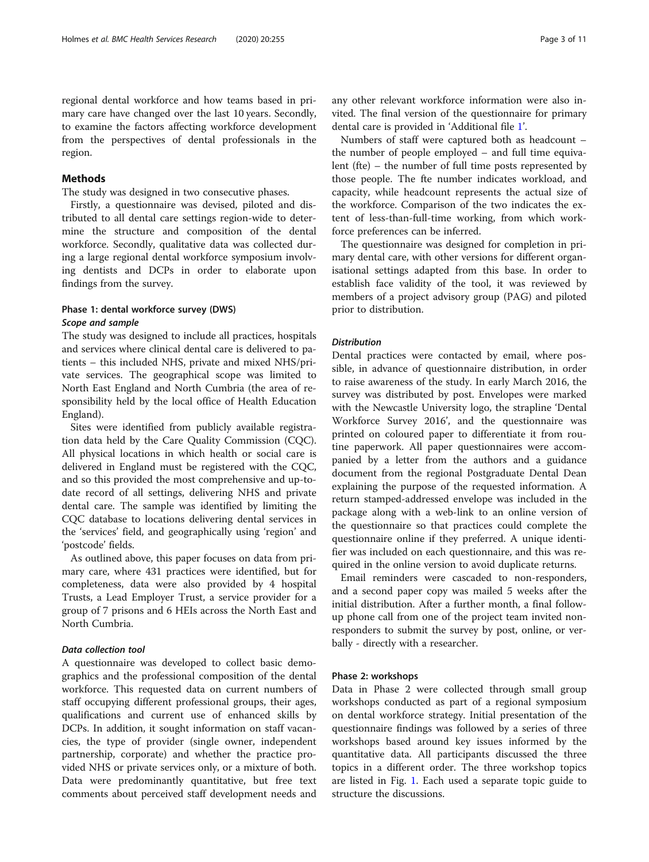regional dental workforce and how teams based in primary care have changed over the last 10 years. Secondly, to examine the factors affecting workforce development from the perspectives of dental professionals in the region.

## Methods

The study was designed in two consecutive phases.

Firstly, a questionnaire was devised, piloted and distributed to all dental care settings region-wide to determine the structure and composition of the dental workforce. Secondly, qualitative data was collected during a large regional dental workforce symposium involving dentists and DCPs in order to elaborate upon findings from the survey.

## Phase 1: dental workforce survey (DWS) Scope and sample

The study was designed to include all practices, hospitals and services where clinical dental care is delivered to patients – this included NHS, private and mixed NHS/private services. The geographical scope was limited to North East England and North Cumbria (the area of responsibility held by the local office of Health Education England).

Sites were identified from publicly available registration data held by the Care Quality Commission (CQC). All physical locations in which health or social care is delivered in England must be registered with the CQC, and so this provided the most comprehensive and up-todate record of all settings, delivering NHS and private dental care. The sample was identified by limiting the CQC database to locations delivering dental services in the 'services' field, and geographically using 'region' and 'postcode' fields.

As outlined above, this paper focuses on data from primary care, where 431 practices were identified, but for completeness, data were also provided by 4 hospital Trusts, a Lead Employer Trust, a service provider for a group of 7 prisons and 6 HEIs across the North East and North Cumbria.

## Data collection tool

A questionnaire was developed to collect basic demographics and the professional composition of the dental workforce. This requested data on current numbers of staff occupying different professional groups, their ages, qualifications and current use of enhanced skills by DCPs. In addition, it sought information on staff vacancies, the type of provider (single owner, independent partnership, corporate) and whether the practice provided NHS or private services only, or a mixture of both. Data were predominantly quantitative, but free text comments about perceived staff development needs and

any other relevant workforce information were also invited. The final version of the questionnaire for primary dental care is provided in 'Additional file [1](#page-9-0)'.

Numbers of staff were captured both as headcount – the number of people employed – and full time equivalent (fte) – the number of full time posts represented by those people. The fte number indicates workload, and capacity, while headcount represents the actual size of the workforce. Comparison of the two indicates the extent of less-than-full-time working, from which workforce preferences can be inferred.

The questionnaire was designed for completion in primary dental care, with other versions for different organisational settings adapted from this base. In order to establish face validity of the tool, it was reviewed by members of a project advisory group (PAG) and piloted prior to distribution.

## **Distribution**

Dental practices were contacted by email, where possible, in advance of questionnaire distribution, in order to raise awareness of the study. In early March 2016, the survey was distributed by post. Envelopes were marked with the Newcastle University logo, the strapline 'Dental Workforce Survey 2016', and the questionnaire was printed on coloured paper to differentiate it from routine paperwork. All paper questionnaires were accompanied by a letter from the authors and a guidance document from the regional Postgraduate Dental Dean explaining the purpose of the requested information. A return stamped-addressed envelope was included in the package along with a web-link to an online version of the questionnaire so that practices could complete the questionnaire online if they preferred. A unique identifier was included on each questionnaire, and this was required in the online version to avoid duplicate returns.

Email reminders were cascaded to non-responders, and a second paper copy was mailed 5 weeks after the initial distribution. After a further month, a final followup phone call from one of the project team invited nonresponders to submit the survey by post, online, or verbally - directly with a researcher.

#### Phase 2: workshops

Data in Phase 2 were collected through small group workshops conducted as part of a regional symposium on dental workforce strategy. Initial presentation of the questionnaire findings was followed by a series of three workshops based around key issues informed by the quantitative data. All participants discussed the three topics in a different order. The three workshop topics are listed in Fig. [1.](#page-3-0) Each used a separate topic guide to structure the discussions.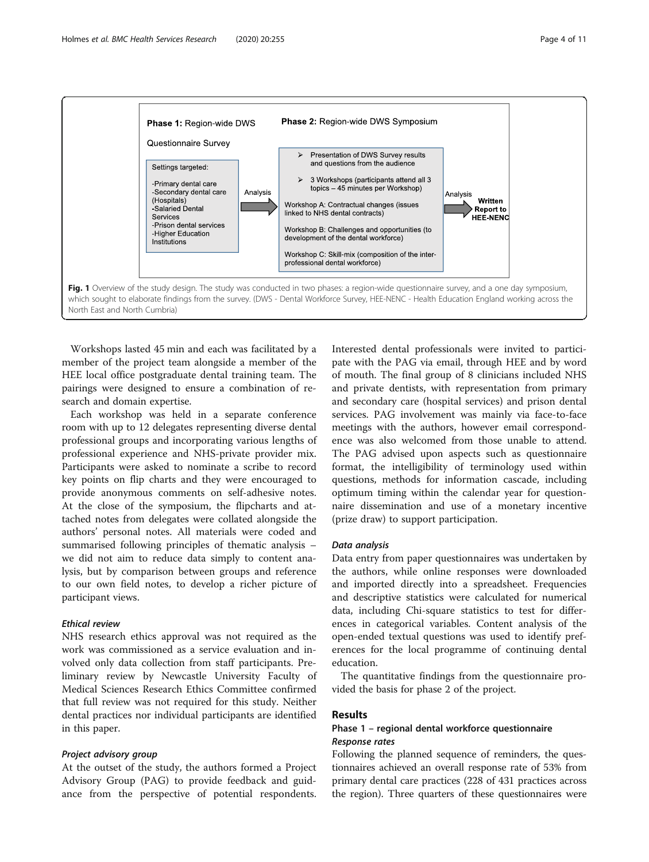<span id="page-3-0"></span>

Workshops lasted 45 min and each was facilitated by a member of the project team alongside a member of the HEE local office postgraduate dental training team. The pairings were designed to ensure a combination of research and domain expertise.

Each workshop was held in a separate conference room with up to 12 delegates representing diverse dental professional groups and incorporating various lengths of professional experience and NHS-private provider mix. Participants were asked to nominate a scribe to record key points on flip charts and they were encouraged to provide anonymous comments on self-adhesive notes. At the close of the symposium, the flipcharts and attached notes from delegates were collated alongside the authors' personal notes. All materials were coded and summarised following principles of thematic analysis – we did not aim to reduce data simply to content analysis, but by comparison between groups and reference to our own field notes, to develop a richer picture of participant views.

## Ethical review

NHS research ethics approval was not required as the work was commissioned as a service evaluation and involved only data collection from staff participants. Preliminary review by Newcastle University Faculty of Medical Sciences Research Ethics Committee confirmed that full review was not required for this study. Neither dental practices nor individual participants are identified in this paper.

#### Project advisory group

At the outset of the study, the authors formed a Project Advisory Group (PAG) to provide feedback and guidance from the perspective of potential respondents.

Interested dental professionals were invited to participate with the PAG via email, through HEE and by word of mouth. The final group of 8 clinicians included NHS and private dentists, with representation from primary and secondary care (hospital services) and prison dental services. PAG involvement was mainly via face-to-face meetings with the authors, however email correspondence was also welcomed from those unable to attend. The PAG advised upon aspects such as questionnaire format, the intelligibility of terminology used within questions, methods for information cascade, including optimum timing within the calendar year for questionnaire dissemination and use of a monetary incentive (prize draw) to support participation.

#### Data analysis

Data entry from paper questionnaires was undertaken by the authors, while online responses were downloaded and imported directly into a spreadsheet. Frequencies and descriptive statistics were calculated for numerical data, including Chi-square statistics to test for differences in categorical variables. Content analysis of the open-ended textual questions was used to identify preferences for the local programme of continuing dental education.

The quantitative findings from the questionnaire provided the basis for phase 2 of the project.

#### Results

## Phase 1 – regional dental workforce questionnaire Response rates

Following the planned sequence of reminders, the questionnaires achieved an overall response rate of 53% from primary dental care practices (228 of 431 practices across the region). Three quarters of these questionnaires were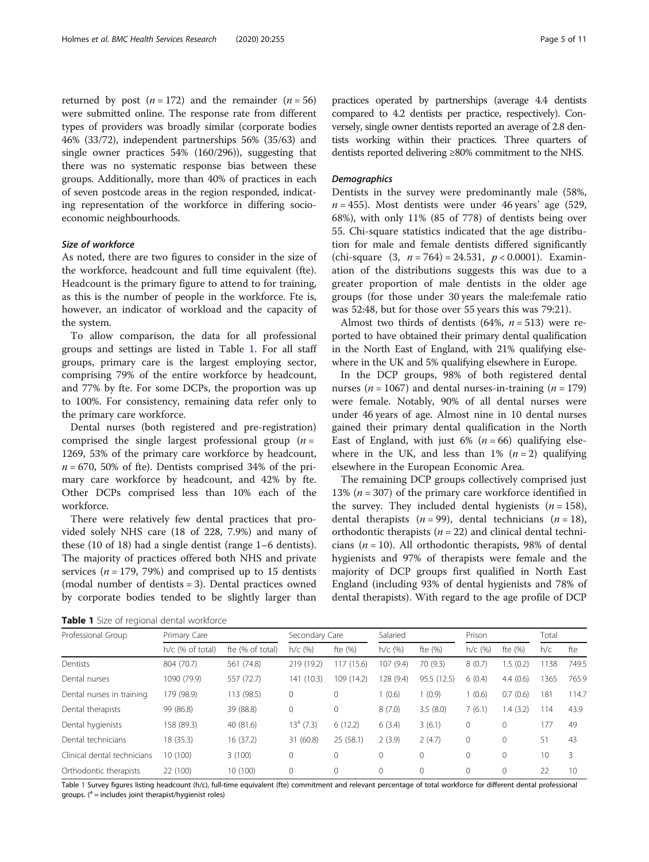<span id="page-4-0"></span>returned by post  $(n = 172)$  and the remainder  $(n = 56)$ were submitted online. The response rate from different types of providers was broadly similar (corporate bodies 46% (33/72), independent partnerships 56% (35/63) and single owner practices 54% (160/296)), suggesting that there was no systematic response bias between these groups. Additionally, more than 40% of practices in each of seven postcode areas in the region responded, indicating representation of the workforce in differing socioeconomic neighbourhoods.

## Size of workforce

As noted, there are two figures to consider in the size of the workforce, headcount and full time equivalent (fte). Headcount is the primary figure to attend to for training, as this is the number of people in the workforce. Fte is, however, an indicator of workload and the capacity of the system.

To allow comparison, the data for all professional groups and settings are listed in Table 1. For all staff groups, primary care is the largest employing sector, comprising 79% of the entire workforce by headcount, and 77% by fte. For some DCPs, the proportion was up to 100%. For consistency, remaining data refer only to the primary care workforce.

Dental nurses (both registered and pre-registration) comprised the single largest professional group  $(n =$ 1269, 53% of the primary care workforce by headcount,  $n = 670$ , 50% of fte). Dentists comprised 34% of the primary care workforce by headcount, and 42% by fte. Other DCPs comprised less than 10% each of the workforce.

There were relatively few dental practices that provided solely NHS care (18 of 228, 7.9%) and many of these (10 of 18) had a single dentist (range 1–6 dentists). The majority of practices offered both NHS and private services ( $n = 179, 79\%$ ) and comprised up to 15 dentists (modal number of dentists = 3). Dental practices owned by corporate bodies tended to be slightly larger than practices operated by partnerships (average 4.4 dentists compared to 4.2 dentists per practice, respectively). Conversely, single owner dentists reported an average of 2.8 dentists working within their practices. Three quarters of dentists reported delivering ≥80% commitment to the NHS.

#### **Demographics**

Dentists in the survey were predominantly male (58%,  $n = 455$ ). Most dentists were under 46 years' age (529, 68%), with only 11% (85 of 778) of dentists being over 55. Chi-square statistics indicated that the age distribution for male and female dentists differed significantly (chi-square  $(3, n = 764) = 24.531, p < 0.0001$ ). Examination of the distributions suggests this was due to a greater proportion of male dentists in the older age groups (for those under 30 years the male:female ratio was 52:48, but for those over 55 years this was 79:21).

Almost two thirds of dentists (64%,  $n = 513$ ) were reported to have obtained their primary dental qualification in the North East of England, with 21% qualifying elsewhere in the UK and 5% qualifying elsewhere in Europe.

In the DCP groups, 98% of both registered dental nurses ( $n = 1067$ ) and dental nurses-in-training ( $n = 179$ ) were female. Notably, 90% of all dental nurses were under 46 years of age. Almost nine in 10 dental nurses gained their primary dental qualification in the North East of England, with just 6% ( $n = 66$ ) qualifying elsewhere in the UK, and less than 1%  $(n=2)$  qualifying elsewhere in the European Economic Area.

The remaining DCP groups collectively comprised just 13% ( $n = 307$ ) of the primary care workforce identified in the survey. They included dental hygienists  $(n = 158)$ , dental therapists ( $n = 99$ ), dental technicians ( $n = 18$ ), orthodontic therapists ( $n = 22$ ) and clinical dental technicians ( $n = 10$ ). All orthodontic therapists, 98% of dental hygienists and 97% of therapists were female and the majority of DCP groups first qualified in North East England (including 93% of dental hygienists and 78% of dental therapists). With regard to the age profile of DCP

Table 1 Size of regional dental workforce

| Professional Group          | Primary Care     |                  | Secondary Care |            | Salaried  |             | Prison    |          | Total |       |  |  |
|-----------------------------|------------------|------------------|----------------|------------|-----------|-------------|-----------|----------|-------|-------|--|--|
|                             | h/c (% of total) | fte (% of total) | $h/c$ (%)      | fte (%)    | $h/c$ (%) | fte $(% )$  | $h/c$ (%) | fte (%)  | h/c   | fte   |  |  |
| Dentists                    | 804 (70.7)       | 561 (74.8)       | 219 (19.2)     | 117 (15.6) | 107 (9.4) | 70 (9.3)    | 8(0.7)    | 1.5(0.2) | 1138  | 749.5 |  |  |
| Dental nurses               | 1090 (79.9)      | 557 (72.7)       | 141 (10.3)     | 109 (14.2) | 128 (9.4) | 95.5 (12.5) | 6(0.4)    | 4.4(0.6) | 1365  | 765.9 |  |  |
| Dental nurses in training   | 179 (98.9)       | 113 (98.5)       | $\circ$        | 0          | (0.6)     | 1(0.9)      | (0.6)     | 0.7(0.6) | 181   | 114.7 |  |  |
| Dental therapists           | 99 (86.8)        | 39 (88.8)        | $\mathbf{0}$   | 0          | 8(7.0)    | 3.5(8.0)    | 7(6.1)    | 1.4(3.2) | 114   | 43.9  |  |  |
| Dental hygienists           | 158 (89.3)       | 40 (81.6)        | 13ª (7.3)      | 6(12.2)    | 6(3.4)    | 3(6.1)      | 0         | 0        | 177   | 49    |  |  |
| Dental technicians          | 18 (35.3)        | 16(37.2)         | 31 (60.8)      | 25(58.1)   | 2(3.9)    | 2(4.7)      | 0         | $\Omega$ | 51    | 43    |  |  |
| Clinical dental technicians | 10 (100)         | 3(100)           | 0              | $\Omega$   | 0         | $\Omega$    | $\Omega$  | $\Omega$ | 10    | 3     |  |  |
| Orthodontic therapists      | 22 (100)         | 10 (100)         | $\mathbf{0}$   | $\Omega$   | 0         | $\Omega$    | 0         | $\Omega$ | 22    | 10    |  |  |

Table 1 Survey figures listing headcount (h/c), full-time equivalent (fte) commitment and relevant percentage of total workforce for different dental professional groups.  $(^\text{a}$  = includes joint therapist/hygienist roles)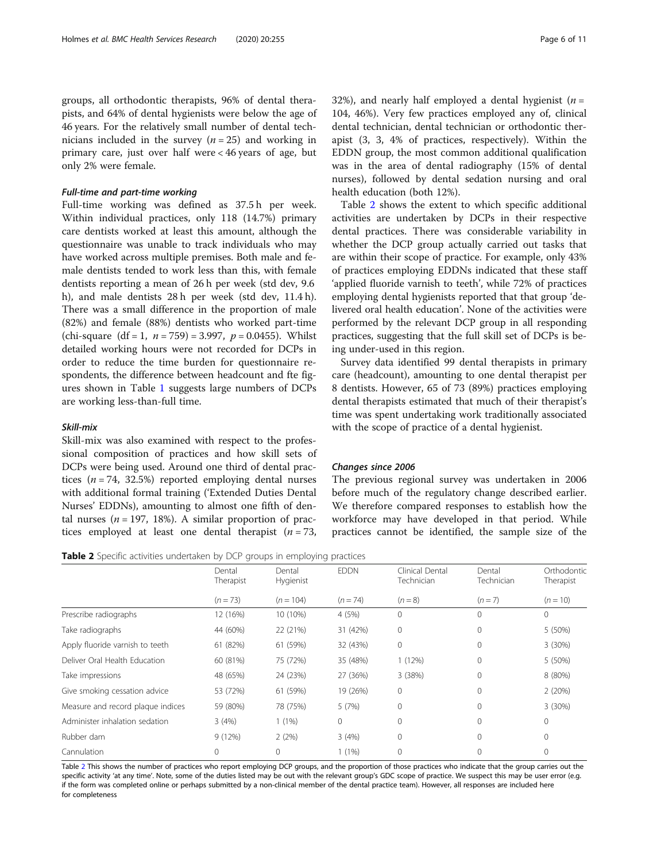groups, all orthodontic therapists, 96% of dental therapists, and 64% of dental hygienists were below the age of 46 years. For the relatively small number of dental technicians included in the survey  $(n = 25)$  and working in primary care, just over half were < 46 years of age, but only 2% were female.

## Full-time and part-time working

Full-time working was defined as 37.5 h per week. Within individual practices, only 118 (14.7%) primary care dentists worked at least this amount, although the questionnaire was unable to track individuals who may have worked across multiple premises. Both male and female dentists tended to work less than this, with female dentists reporting a mean of 26 h per week (std dev, 9.6 h), and male dentists 28 h per week (std dev, 11.4 h). There was a small difference in the proportion of male (82%) and female (88%) dentists who worked part-time (chi-square  $(df = 1, n = 759) = 3.997, p = 0.0455)$ . Whilst detailed working hours were not recorded for DCPs in order to reduce the time burden for questionnaire respondents, the difference between headcount and fte figures shown in Table [1](#page-4-0) suggests large numbers of DCPs are working less-than-full time.

#### Skill-mix

Skill-mix was also examined with respect to the professional composition of practices and how skill sets of DCPs were being used. Around one third of dental practices ( $n = 74$ , 32.5%) reported employing dental nurses with additional formal training ('Extended Duties Dental Nurses' EDDNs), amounting to almost one fifth of dental nurses ( $n = 197, 18\%)$ . A similar proportion of practices employed at least one dental therapist  $(n = 73,$ 

32%), and nearly half employed a dental hygienist ( $n =$ 104, 46%). Very few practices employed any of, clinical dental technician, dental technician or orthodontic therapist (3, 3, 4% of practices, respectively). Within the EDDN group, the most common additional qualification was in the area of dental radiography (15% of dental nurses), followed by dental sedation nursing and oral health education (both 12%).

Table 2 shows the extent to which specific additional activities are undertaken by DCPs in their respective dental practices. There was considerable variability in whether the DCP group actually carried out tasks that are within their scope of practice. For example, only 43% of practices employing EDDNs indicated that these staff 'applied fluoride varnish to teeth', while 72% of practices employing dental hygienists reported that that group 'delivered oral health education'. None of the activities were performed by the relevant DCP group in all responding practices, suggesting that the full skill set of DCPs is being under-used in this region.

Survey data identified 99 dental therapists in primary care (headcount), amounting to one dental therapist per 8 dentists. However, 65 of 73 (89%) practices employing dental therapists estimated that much of their therapist's time was spent undertaking work traditionally associated with the scope of practice of a dental hygienist.

## Changes since 2006

The previous regional survey was undertaken in 2006 before much of the regulatory change described earlier. We therefore compared responses to establish how the workforce may have developed in that period. While practices cannot be identified, the sample size of the

Table 2 Specific activities undertaken by DCP groups in employing practices

|                                   | Dental<br>Therapist | Dental<br>Hygienist | <b>EDDN</b>  | Clinical Dental<br>Technician | Dental<br>Technician | Orthodontic<br>Therapist |  |
|-----------------------------------|---------------------|---------------------|--------------|-------------------------------|----------------------|--------------------------|--|
|                                   | $(n = 73)$          | $(n = 104)$         | $(n = 74)$   | $(n = 8)$                     | $(n=7)$              | $(n = 10)$               |  |
| Prescribe radiographs             | 12 (16%)            | 10 (10%)            | 4(5%)        | 0                             | 0                    | $\Omega$                 |  |
| Take radiographs                  | 44 (60%)            | 22 (21%)            | 31 (42%)     | 0                             | $\mathbf{0}$         | 5 (50%)                  |  |
| Apply fluoride varnish to teeth   | 61 (82%)            | 61 (59%)            | 32 (43%)     | 0                             | 0                    | 3(30%)                   |  |
| Deliver Oral Health Education     | 60 (81%)            | 75 (72%)            | 35 (48%)     | 1(12%)                        | 0                    | 5 (50%)                  |  |
| Take impressions                  | 48 (65%)            | 24 (23%)            | 27 (36%)     | 3(38%)                        | $\Omega$             | 8 (80%)                  |  |
| Give smoking cessation advice     | 53 (72%)            | 61 (59%)            | 19 (26%)     | 0                             | $\Omega$             | 2(20%)                   |  |
| Measure and record plaque indices | 59 (80%)            | 78 (75%)            | 5 (7%)       | 0                             | $\Omega$             | 3(30%)                   |  |
| Administer inhalation sedation    | 3(4%)               | $1(1\%)$            | $\mathbf{0}$ | 0                             | $\Omega$             | $\Omega$                 |  |
| Rubber dam                        | 9(12%)              | 2(2%)               | 3(4%)        | 0                             | $\Omega$             | $\Omega$                 |  |
| Cannulation                       | 0                   | $\Omega$            | $1(1\%)$     | 0                             | $\Omega$             | $\Omega$                 |  |

Table 2 This shows the number of practices who report employing DCP groups, and the proportion of those practices who indicate that the group carries out the specific activity 'at any time'. Note, some of the duties listed may be out with the relevant group's GDC scope of practice. We suspect this may be user error (e.g. if the form was completed online or perhaps submitted by a non-clinical member of the dental practice team). However, all responses are included here for completeness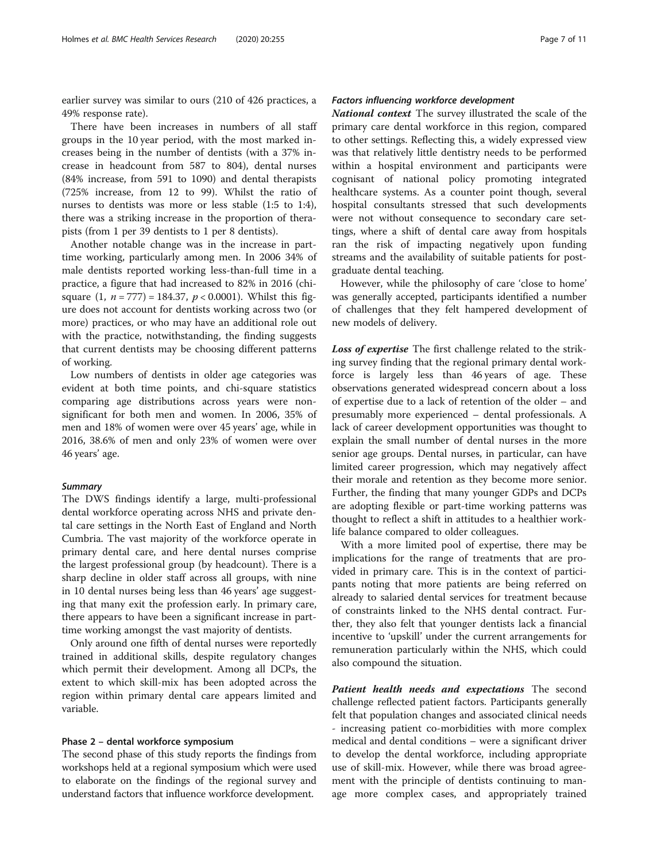earlier survey was similar to ours (210 of 426 practices, a 49% response rate).

There have been increases in numbers of all staff groups in the 10 year period, with the most marked increases being in the number of dentists (with a 37% increase in headcount from 587 to 804), dental nurses (84% increase, from 591 to 1090) and dental therapists (725% increase, from 12 to 99). Whilst the ratio of nurses to dentists was more or less stable (1:5 to 1:4), there was a striking increase in the proportion of therapists (from 1 per 39 dentists to 1 per 8 dentists).

Another notable change was in the increase in parttime working, particularly among men. In 2006 34% of male dentists reported working less-than-full time in a practice, a figure that had increased to 82% in 2016 (chisquare  $(1, n = 777) = 184.37, p < 0.0001$ ). Whilst this figure does not account for dentists working across two (or more) practices, or who may have an additional role out with the practice, notwithstanding, the finding suggests that current dentists may be choosing different patterns of working.

Low numbers of dentists in older age categories was evident at both time points, and chi-square statistics comparing age distributions across years were nonsignificant for both men and women. In 2006, 35% of men and 18% of women were over 45 years' age, while in 2016, 38.6% of men and only 23% of women were over 46 years' age.

## **Summary**

The DWS findings identify a large, multi-professional dental workforce operating across NHS and private dental care settings in the North East of England and North Cumbria. The vast majority of the workforce operate in primary dental care, and here dental nurses comprise the largest professional group (by headcount). There is a sharp decline in older staff across all groups, with nine in 10 dental nurses being less than 46 years' age suggesting that many exit the profession early. In primary care, there appears to have been a significant increase in parttime working amongst the vast majority of dentists.

Only around one fifth of dental nurses were reportedly trained in additional skills, despite regulatory changes which permit their development. Among all DCPs, the extent to which skill-mix has been adopted across the region within primary dental care appears limited and variable.

## Phase 2 – dental workforce symposium

The second phase of this study reports the findings from workshops held at a regional symposium which were used to elaborate on the findings of the regional survey and understand factors that influence workforce development.

## Factors influencing workforce development

National context The survey illustrated the scale of the primary care dental workforce in this region, compared to other settings. Reflecting this, a widely expressed view was that relatively little dentistry needs to be performed within a hospital environment and participants were cognisant of national policy promoting integrated healthcare systems. As a counter point though, several hospital consultants stressed that such developments were not without consequence to secondary care settings, where a shift of dental care away from hospitals ran the risk of impacting negatively upon funding streams and the availability of suitable patients for postgraduate dental teaching.

However, while the philosophy of care 'close to home' was generally accepted, participants identified a number of challenges that they felt hampered development of new models of delivery.

Loss of expertise The first challenge related to the striking survey finding that the regional primary dental workforce is largely less than 46 years of age. These observations generated widespread concern about a loss of expertise due to a lack of retention of the older – and presumably more experienced – dental professionals. A lack of career development opportunities was thought to explain the small number of dental nurses in the more senior age groups. Dental nurses, in particular, can have limited career progression, which may negatively affect their morale and retention as they become more senior. Further, the finding that many younger GDPs and DCPs are adopting flexible or part-time working patterns was thought to reflect a shift in attitudes to a healthier worklife balance compared to older colleagues.

With a more limited pool of expertise, there may be implications for the range of treatments that are provided in primary care. This is in the context of participants noting that more patients are being referred on already to salaried dental services for treatment because of constraints linked to the NHS dental contract. Further, they also felt that younger dentists lack a financial incentive to 'upskill' under the current arrangements for remuneration particularly within the NHS, which could also compound the situation.

Patient health needs and expectations The second challenge reflected patient factors. Participants generally felt that population changes and associated clinical needs - increasing patient co-morbidities with more complex medical and dental conditions – were a significant driver to develop the dental workforce, including appropriate use of skill-mix. However, while there was broad agreement with the principle of dentists continuing to manage more complex cases, and appropriately trained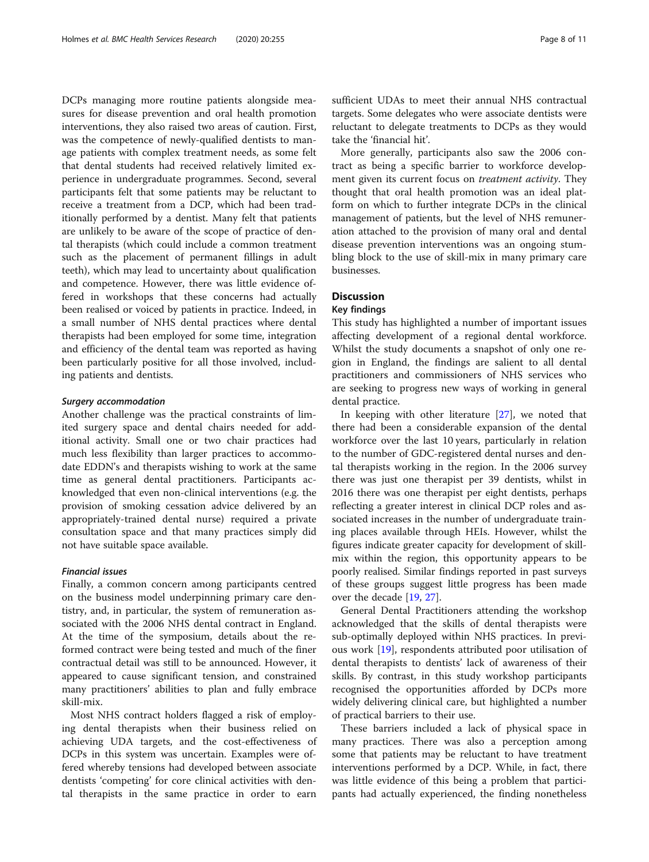DCPs managing more routine patients alongside measures for disease prevention and oral health promotion interventions, they also raised two areas of caution. First, was the competence of newly-qualified dentists to manage patients with complex treatment needs, as some felt that dental students had received relatively limited experience in undergraduate programmes. Second, several participants felt that some patients may be reluctant to receive a treatment from a DCP, which had been traditionally performed by a dentist. Many felt that patients are unlikely to be aware of the scope of practice of dental therapists (which could include a common treatment such as the placement of permanent fillings in adult teeth), which may lead to uncertainty about qualification and competence. However, there was little evidence offered in workshops that these concerns had actually been realised or voiced by patients in practice. Indeed, in a small number of NHS dental practices where dental therapists had been employed for some time, integration and efficiency of the dental team was reported as having been particularly positive for all those involved, including patients and dentists.

#### Surgery accommodation

Another challenge was the practical constraints of limited surgery space and dental chairs needed for additional activity. Small one or two chair practices had much less flexibility than larger practices to accommodate EDDN's and therapists wishing to work at the same time as general dental practitioners. Participants acknowledged that even non-clinical interventions (e.g. the provision of smoking cessation advice delivered by an appropriately-trained dental nurse) required a private consultation space and that many practices simply did not have suitable space available.

#### Financial issues

Finally, a common concern among participants centred on the business model underpinning primary care dentistry, and, in particular, the system of remuneration associated with the 2006 NHS dental contract in England. At the time of the symposium, details about the reformed contract were being tested and much of the finer contractual detail was still to be announced. However, it appeared to cause significant tension, and constrained many practitioners' abilities to plan and fully embrace skill-mix.

Most NHS contract holders flagged a risk of employing dental therapists when their business relied on achieving UDA targets, and the cost-effectiveness of DCPs in this system was uncertain. Examples were offered whereby tensions had developed between associate dentists 'competing' for core clinical activities with dental therapists in the same practice in order to earn

sufficient UDAs to meet their annual NHS contractual targets. Some delegates who were associate dentists were reluctant to delegate treatments to DCPs as they would take the 'financial hit'.

More generally, participants also saw the 2006 contract as being a specific barrier to workforce development given its current focus on *treatment activity*. They thought that oral health promotion was an ideal platform on which to further integrate DCPs in the clinical management of patients, but the level of NHS remuneration attached to the provision of many oral and dental disease prevention interventions was an ongoing stumbling block to the use of skill-mix in many primary care businesses.

## **Discussion**

#### Key findings

This study has highlighted a number of important issues affecting development of a regional dental workforce. Whilst the study documents a snapshot of only one region in England, the findings are salient to all dental practitioners and commissioners of NHS services who are seeking to progress new ways of working in general dental practice.

In keeping with other literature [[27\]](#page-10-0), we noted that there had been a considerable expansion of the dental workforce over the last 10 years, particularly in relation to the number of GDC-registered dental nurses and dental therapists working in the region. In the 2006 survey there was just one therapist per 39 dentists, whilst in 2016 there was one therapist per eight dentists, perhaps reflecting a greater interest in clinical DCP roles and associated increases in the number of undergraduate training places available through HEIs. However, whilst the figures indicate greater capacity for development of skillmix within the region, this opportunity appears to be poorly realised. Similar findings reported in past surveys of these groups suggest little progress has been made over the decade [\[19](#page-10-0), [27](#page-10-0)].

General Dental Practitioners attending the workshop acknowledged that the skills of dental therapists were sub-optimally deployed within NHS practices. In previous work [\[19](#page-10-0)], respondents attributed poor utilisation of dental therapists to dentists' lack of awareness of their skills. By contrast, in this study workshop participants recognised the opportunities afforded by DCPs more widely delivering clinical care, but highlighted a number of practical barriers to their use.

These barriers included a lack of physical space in many practices. There was also a perception among some that patients may be reluctant to have treatment interventions performed by a DCP. While, in fact, there was little evidence of this being a problem that participants had actually experienced, the finding nonetheless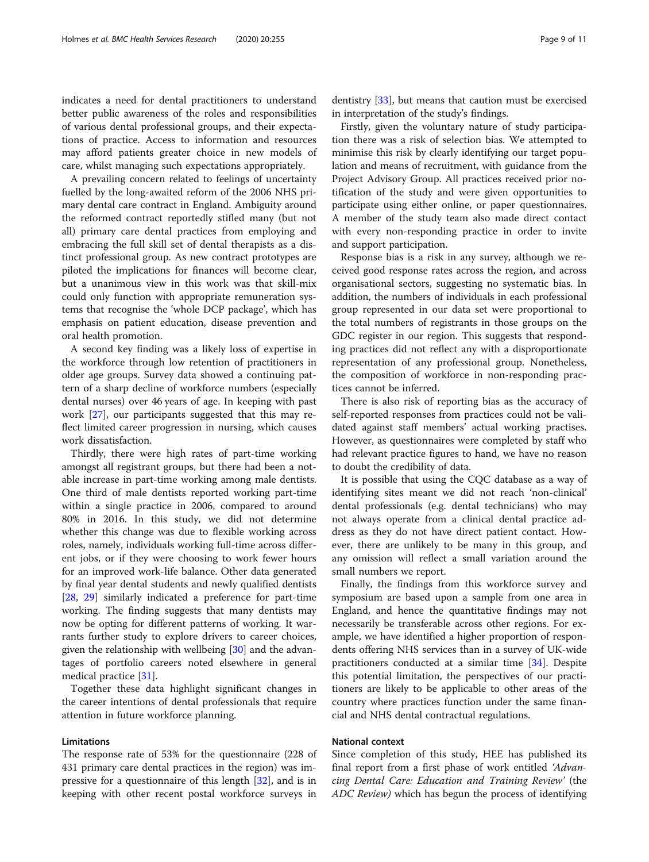indicates a need for dental practitioners to understand better public awareness of the roles and responsibilities of various dental professional groups, and their expectations of practice. Access to information and resources may afford patients greater choice in new models of care, whilst managing such expectations appropriately.

A prevailing concern related to feelings of uncertainty fuelled by the long-awaited reform of the 2006 NHS primary dental care contract in England. Ambiguity around the reformed contract reportedly stifled many (but not all) primary care dental practices from employing and embracing the full skill set of dental therapists as a distinct professional group. As new contract prototypes are piloted the implications for finances will become clear, but a unanimous view in this work was that skill-mix could only function with appropriate remuneration systems that recognise the 'whole DCP package', which has emphasis on patient education, disease prevention and oral health promotion.

A second key finding was a likely loss of expertise in the workforce through low retention of practitioners in older age groups. Survey data showed a continuing pattern of a sharp decline of workforce numbers (especially dental nurses) over 46 years of age. In keeping with past work [[27](#page-10-0)], our participants suggested that this may reflect limited career progression in nursing, which causes work dissatisfaction.

Thirdly, there were high rates of part-time working amongst all registrant groups, but there had been a notable increase in part-time working among male dentists. One third of male dentists reported working part-time within a single practice in 2006, compared to around 80% in 2016. In this study, we did not determine whether this change was due to flexible working across roles, namely, individuals working full-time across different jobs, or if they were choosing to work fewer hours for an improved work-life balance. Other data generated by final year dental students and newly qualified dentists [[28,](#page-10-0) [29\]](#page-10-0) similarly indicated a preference for part-time working. The finding suggests that many dentists may now be opting for different patterns of working. It warrants further study to explore drivers to career choices, given the relationship with wellbeing [\[30](#page-10-0)] and the advantages of portfolio careers noted elsewhere in general medical practice [[31](#page-10-0)].

Together these data highlight significant changes in the career intentions of dental professionals that require attention in future workforce planning.

## Limitations

The response rate of 53% for the questionnaire (228 of 431 primary care dental practices in the region) was impressive for a questionnaire of this length [[32\]](#page-10-0), and is in keeping with other recent postal workforce surveys in

dentistry [[33\]](#page-10-0), but means that caution must be exercised in interpretation of the study's findings.

Firstly, given the voluntary nature of study participation there was a risk of selection bias. We attempted to minimise this risk by clearly identifying our target population and means of recruitment, with guidance from the Project Advisory Group. All practices received prior notification of the study and were given opportunities to participate using either online, or paper questionnaires. A member of the study team also made direct contact with every non-responding practice in order to invite and support participation.

Response bias is a risk in any survey, although we received good response rates across the region, and across organisational sectors, suggesting no systematic bias. In addition, the numbers of individuals in each professional group represented in our data set were proportional to the total numbers of registrants in those groups on the GDC register in our region. This suggests that responding practices did not reflect any with a disproportionate representation of any professional group. Nonetheless, the composition of workforce in non-responding practices cannot be inferred.

There is also risk of reporting bias as the accuracy of self-reported responses from practices could not be validated against staff members' actual working practises. However, as questionnaires were completed by staff who had relevant practice figures to hand, we have no reason to doubt the credibility of data.

It is possible that using the CQC database as a way of identifying sites meant we did not reach 'non-clinical' dental professionals (e.g. dental technicians) who may not always operate from a clinical dental practice address as they do not have direct patient contact. However, there are unlikely to be many in this group, and any omission will reflect a small variation around the small numbers we report.

Finally, the findings from this workforce survey and symposium are based upon a sample from one area in England, and hence the quantitative findings may not necessarily be transferable across other regions. For example, we have identified a higher proportion of respondents offering NHS services than in a survey of UK-wide practitioners conducted at a similar time [\[34\]](#page-10-0). Despite this potential limitation, the perspectives of our practitioners are likely to be applicable to other areas of the country where practices function under the same financial and NHS dental contractual regulations.

## National context

Since completion of this study, HEE has published its final report from a first phase of work entitled 'Advancing Dental Care: Education and Training Review' (the ADC Review) which has begun the process of identifying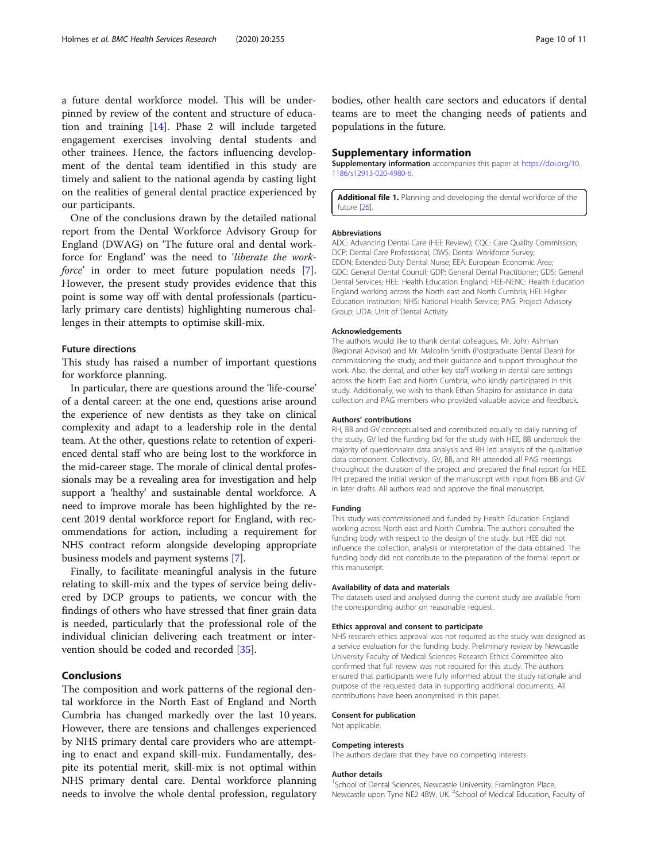<span id="page-9-0"></span>a future dental workforce model. This will be underpinned by review of the content and structure of education and training [\[14](#page-10-0)]. Phase 2 will include targeted engagement exercises involving dental students and other trainees. Hence, the factors influencing development of the dental team identified in this study are timely and salient to the national agenda by casting light on the realities of general dental practice experienced by our participants.

One of the conclusions drawn by the detailed national report from the Dental Workforce Advisory Group for England (DWAG) on 'The future oral and dental workforce for England' was the need to 'liberate the work-force' in order to meet future population needs [\[7](#page-10-0)]. However, the present study provides evidence that this point is some way off with dental professionals (particularly primary care dentists) highlighting numerous challenges in their attempts to optimise skill-mix.

#### Future directions

This study has raised a number of important questions for workforce planning.

In particular, there are questions around the 'life-course' of a dental career: at the one end, questions arise around the experience of new dentists as they take on clinical complexity and adapt to a leadership role in the dental team. At the other, questions relate to retention of experienced dental staff who are being lost to the workforce in the mid-career stage. The morale of clinical dental professionals may be a revealing area for investigation and help support a 'healthy' and sustainable dental workforce. A need to improve morale has been highlighted by the recent 2019 dental workforce report for England, with recommendations for action, including a requirement for NHS contract reform alongside developing appropriate business models and payment systems [\[7](#page-10-0)].

Finally, to facilitate meaningful analysis in the future relating to skill-mix and the types of service being delivered by DCP groups to patients, we concur with the findings of others who have stressed that finer grain data is needed, particularly that the professional role of the individual clinician delivering each treatment or intervention should be coded and recorded [\[35](#page-10-0)].

## Conclusions

The composition and work patterns of the regional dental workforce in the North East of England and North Cumbria has changed markedly over the last 10 years. However, there are tensions and challenges experienced by NHS primary dental care providers who are attempting to enact and expand skill-mix. Fundamentally, despite its potential merit, skill-mix is not optimal within NHS primary dental care. Dental workforce planning needs to involve the whole dental profession, regulatory bodies, other health care sectors and educators if dental teams are to meet the changing needs of patients and populations in the future.

#### Supplementary information

Supplementary information accompanies this paper at [https://doi.org/10.](https://doi.org/10.1186/s12913-020-4980-6) [1186/s12913-020-4980-6.](https://doi.org/10.1186/s12913-020-4980-6)

Additional file 1. Planning and developing the dental workforce of the future [26].

#### Abbreviations

ADC: Advancing Dental Care (HEE Review); CQC: Care Quality Commission; DCP: Dental Care Professional; DWS: Dental Workforce Survey; EDDN: Extended-Duty Dental Nurse; EEA: European Economic Area; GDC: General Dental Council; GDP: General Dental Practitioner; GDS: General Dental Services; HEE: Health Education England; HEE-NENC: Health Education England working across the North east and North Cumbria; HEI: Higher Education Institution; NHS: National Health Service; PAG: Project Advisory Group; UDA: Unit of Dental Activity

#### Acknowledgements

The authors would like to thank dental colleagues, Mr. John Ashman (Regional Advisor) and Mr. Malcolm Smith (Postgraduate Dental Dean) for commissioning the study, and their guidance and support throughout the work. Also, the dental, and other key staff working in dental care settings across the North East and North Cumbria, who kindly participated in this study. Additionally, we wish to thank Ethan Shapiro for assistance in data collection and PAG members who provided valuable advice and feedback.

#### Authors' contributions

RH, BB and GV conceptualised and contributed equally to daily running of the study. GV led the funding bid for the study with HEE, BB undertook the majority of questionnaire data analysis and RH led analysis of the qualitative data component. Collectively, GV, BB, and RH attended all PAG meetings throughout the duration of the project and prepared the final report for HEE. RH prepared the initial version of the manuscript with input from BB and GV in later drafts. All authors read and approve the final manuscript.

#### Funding

This study was commissioned and funded by Health Education England working across North east and North Cumbria. The authors consulted the funding body with respect to the design of the study, but HEE did not influence the collection, analysis or interpretation of the data obtained. The funding body did not contribute to the preparation of the formal report or this manuscript.

#### Availability of data and materials

The datasets used and analysed during the current study are available from the corresponding author on reasonable request.

#### Ethics approval and consent to participate

NHS research ethics approval was not required as the study was designed as a service evaluation for the funding body. Preliminary review by Newcastle University Faculty of Medical Sciences Research Ethics Committee also confirmed that full review was not required for this study. The authors ensured that participants were fully informed about the study rationale and purpose of the requested data in supporting additional documents. All contributions have been anonymised in this paper.

#### Consent for publication

Not applicable.

#### Competing interests

The authors declare that they have no competing interests.

#### Author details

<sup>1</sup>School of Dental Sciences, Newcastle University, Framlington Place, Newcastle upon Tyne NE2 4BW, UK. <sup>2</sup>School of Medical Education, Faculty of